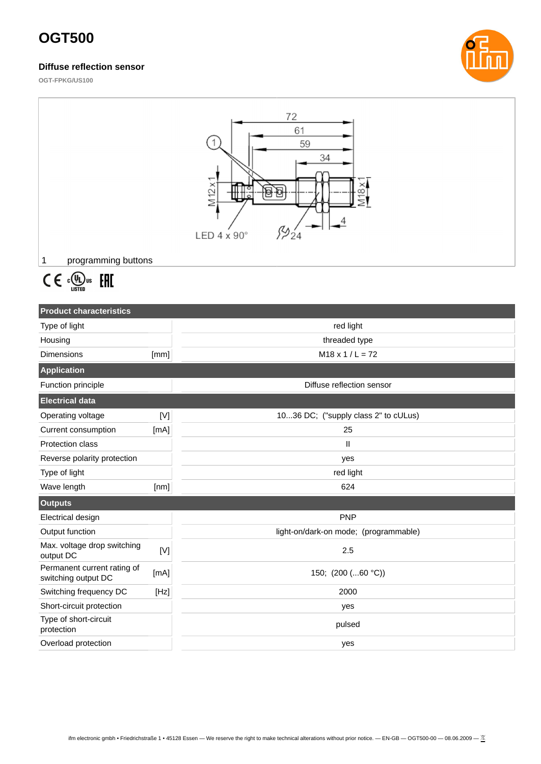# **OGT500**

### **Diffuse reflection sensor**



**OGT-FPKG/US100**

| 72<br>61<br>59<br>34<br>M12x<br>$\Theta$<br>ө<br>LED $4 \times 90^\circ$<br>programming buttons<br>1 |                                                                                                                                                                                              |                                       |  |  |
|------------------------------------------------------------------------------------------------------|----------------------------------------------------------------------------------------------------------------------------------------------------------------------------------------------|---------------------------------------|--|--|
|                                                                                                      |                                                                                                                                                                                              |                                       |  |  |
| $C \in \mathbb{C}^{\text{op}}_{\text{LISTED}}$ EHI                                                   |                                                                                                                                                                                              |                                       |  |  |
|                                                                                                      |                                                                                                                                                                                              |                                       |  |  |
| <b>Product characteristics</b>                                                                       |                                                                                                                                                                                              |                                       |  |  |
| Type of light                                                                                        |                                                                                                                                                                                              | red light                             |  |  |
| Housing                                                                                              |                                                                                                                                                                                              | threaded type                         |  |  |
| <b>Dimensions</b>                                                                                    | [mm]                                                                                                                                                                                         | $M18 \times 1 / L = 72$               |  |  |
| <b>Application</b>                                                                                   |                                                                                                                                                                                              |                                       |  |  |
|                                                                                                      |                                                                                                                                                                                              |                                       |  |  |
| Function principle                                                                                   |                                                                                                                                                                                              | Diffuse reflection sensor             |  |  |
| <b>Electrical data</b>                                                                               |                                                                                                                                                                                              |                                       |  |  |
| Operating voltage                                                                                    | $[{\mathsf{V}}] % \centering \includegraphics[width=\textwidth]{images/Traj_25.png} % \caption{The figure shows the results of the estimators in the left and right.} \label{fig:Traj_25} %$ | 1036 DC; ("supply class 2" to cULus)  |  |  |
| Current consumption                                                                                  | [mA]                                                                                                                                                                                         | 25                                    |  |  |
| Protection class                                                                                     |                                                                                                                                                                                              | $\ensuremath{\mathsf{II}}$            |  |  |
| Reverse polarity protection                                                                          |                                                                                                                                                                                              | yes                                   |  |  |
| Type of light                                                                                        |                                                                                                                                                                                              | red light                             |  |  |
| Wave length                                                                                          | [nm]                                                                                                                                                                                         | 624                                   |  |  |
| <b>Outputs</b>                                                                                       |                                                                                                                                                                                              |                                       |  |  |
| Electrical design                                                                                    |                                                                                                                                                                                              | <b>PNP</b>                            |  |  |
| Output function                                                                                      |                                                                                                                                                                                              | light-on/dark-on mode; (programmable) |  |  |
| Max. voltage drop switching<br>output DC                                                             | $[{\sf V}]$                                                                                                                                                                                  | 2.5                                   |  |  |
| Permanent current rating of<br>switching output DC                                                   | [mA]                                                                                                                                                                                         | 150; (200 (60 °C))                    |  |  |
| Switching frequency DC                                                                               | [Hz]                                                                                                                                                                                         | 2000                                  |  |  |
| Short-circuit protection                                                                             |                                                                                                                                                                                              | yes                                   |  |  |
| Type of short-circuit<br>protection                                                                  |                                                                                                                                                                                              | pulsed                                |  |  |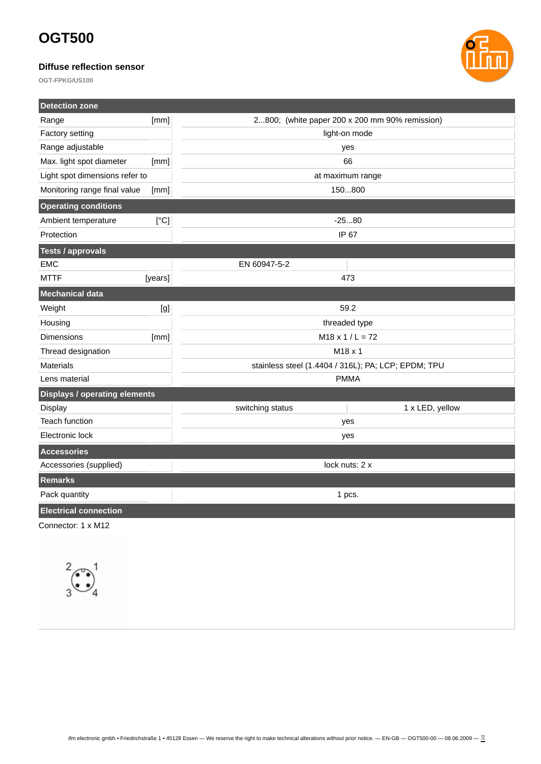# **OGT500**

## **Diffuse reflection sensor**



**OGT-FPKG/US100**

| <b>Detection zone</b>                |         |                                                     |
|--------------------------------------|---------|-----------------------------------------------------|
| Range                                | [mm]    | 2800; (white paper 200 x 200 mm 90% remission)      |
| <b>Factory setting</b>               |         | light-on mode                                       |
| Range adjustable                     |         | yes                                                 |
| Max. light spot diameter             | [mm]    | 66                                                  |
| Light spot dimensions refer to       |         | at maximum range                                    |
| Monitoring range final value         | [mm]    | 150800                                              |
| <b>Operating conditions</b>          |         |                                                     |
| Ambient temperature                  | [°C]    | $-2580$                                             |
| Protection                           |         | IP 67                                               |
| <b>Tests / approvals</b>             |         |                                                     |
| <b>EMC</b>                           |         | EN 60947-5-2                                        |
| <b>MTTF</b>                          | [years] | 473                                                 |
| Mechanical data                      |         |                                                     |
| Weight                               | [g]     | 59.2                                                |
| Housing                              |         | threaded type                                       |
| <b>Dimensions</b>                    | [mm]    | $M18 \times 1 / L = 72$                             |
| Thread designation                   |         | M18 x 1                                             |
| <b>Materials</b>                     |         | stainless steel (1.4404 / 316L); PA; LCP; EPDM; TPU |
| Lens material                        |         | <b>PMMA</b>                                         |
| <b>Displays / operating elements</b> |         |                                                     |
| <b>Display</b>                       |         | switching status<br>1 x LED, yellow                 |
| <b>Teach function</b>                |         | yes                                                 |
| Electronic lock                      |         | yes                                                 |
| <b>Accessories</b>                   |         |                                                     |
| Accessories (supplied)               |         | lock nuts: 2 x                                      |
| <b>Remarks</b>                       |         |                                                     |
| Pack quantity                        |         | 1 pcs.                                              |
| <b>Electrical connection</b>         |         |                                                     |
| Connector: 1 x M12                   |         |                                                     |
|                                      |         |                                                     |
|                                      |         |                                                     |
| $\sim$ $\sim$                        |         |                                                     |